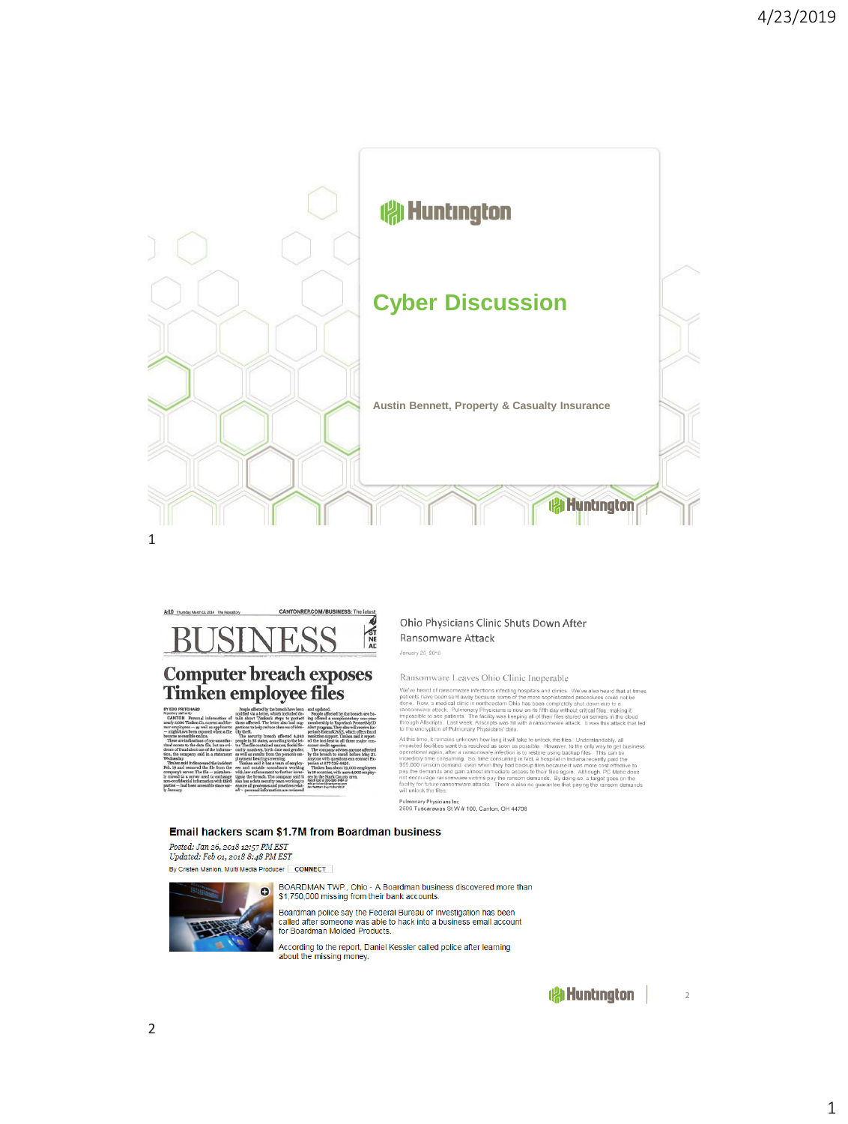



# **Computer breach exposes<br>Timken employee files**

**PLACE ASSEMBLE CONTRACT CALCULATE AND ACTION CONTRACT CALCULATE AND ACTION CONTRACT CONTRACT CONTRACT CONTRACT CONTRACT CONTRACT CONTRACT CONTRACT CONTRACT CONTRACT CONTRACT CONTRACT CONTRACT CONTRACT CONTRACT CONTRACT C** ees in the Stark<br>Reach Edd at 330-58<br>edd.prichard Boards<br>On Twitter: Goprich

#### Ohio Physicians Clinic Shuts Down After Ransomware Attack

January 25, 2018

Ransomware Leaves Ohio Clinic Inoperable

Next the main of the security of the control of the main of the security of the beard that at times patients have been contraded in the second of the more specifies that of the sole of the more specifies and one of the mor

to the encryption of P4montary Physicianis cata.<br>
All this fine, Understandably, all increases the main state of the state of the state of the state of the state of the state of the state of the state of the state of the s

Pulmonary Physicians Inc<br>2600 Tuscarawas St W# 100, Canton, OH 44708

#### Email hackers scam \$1.7M from Boardman business

Posted: Jan 26, 2018 12:57 PM EST Updated: Feb 01, 2018 $8.48$  PM EST

By Cristen Manion, Multi Media Producer | CONNECT



BOARDMAN TWP., Ohio - A Boardman business discovered more than \$1,750,000 missing from their bank accounts.

Boardman police say the Federal Bureau of Investigation has been Called after someone was able to hack into a business email account<br>for Boardman Molded Products.

According to the report, Daniel Kessler called police after learning<br>about the missing money.

 $\mathbf \emptyset$  Huntington

 $\sqrt{2}$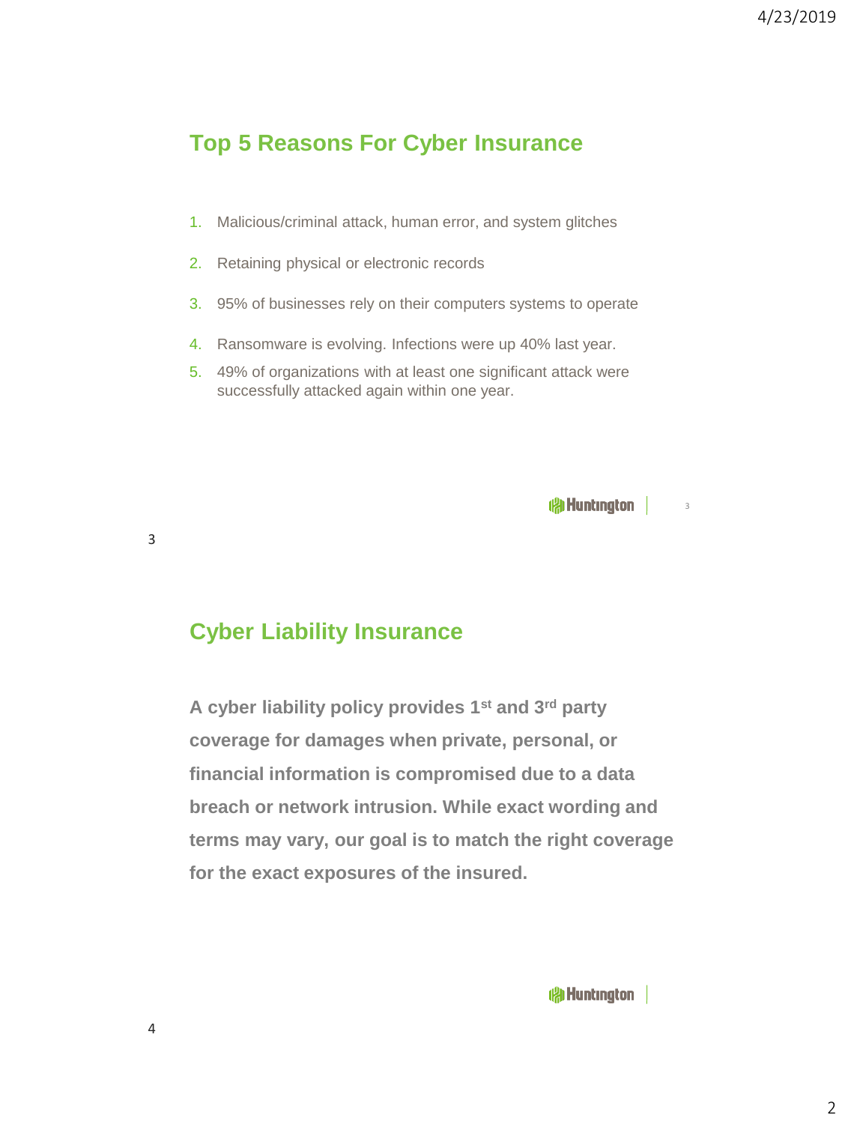## **Top 5 Reasons For Cyber Insurance**

- 1. Malicious/criminal attack, human error, and system glitches
- 2. Retaining physical or electronic records
- 3. 95% of businesses rely on their computers systems to operate
- 4. Ransomware is evolving. Infections were up 40% last year.
- 5. 49% of organizations with at least one significant attack were successfully attacked again within one year.

**Allentington** 

3

3

# **Cyber Liability Insurance**

**A cyber liability policy provides 1st and 3rd party coverage for damages when private, personal, or financial information is compromised due to a data breach or network intrusion. While exact wording and terms may vary, our goal is to match the right coverage for the exact exposures of the insured.**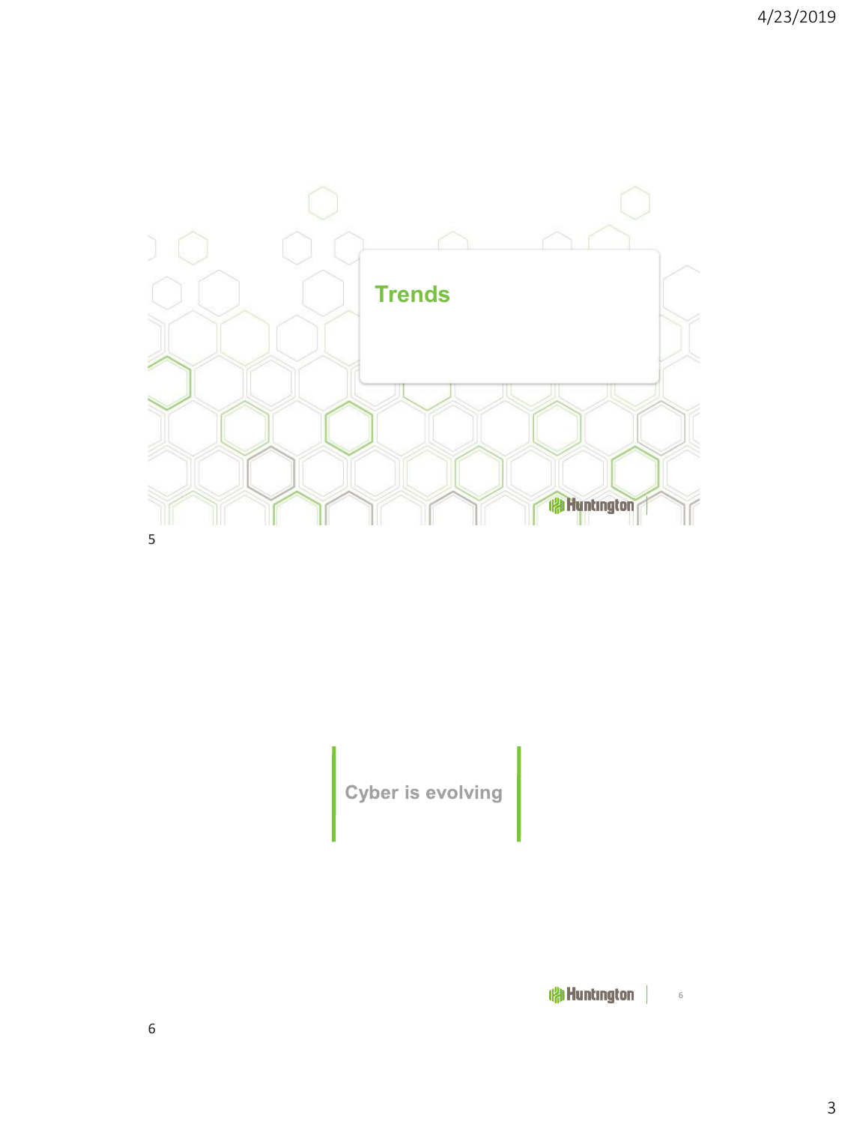

Cyber is evolving

**A** Huntington | 6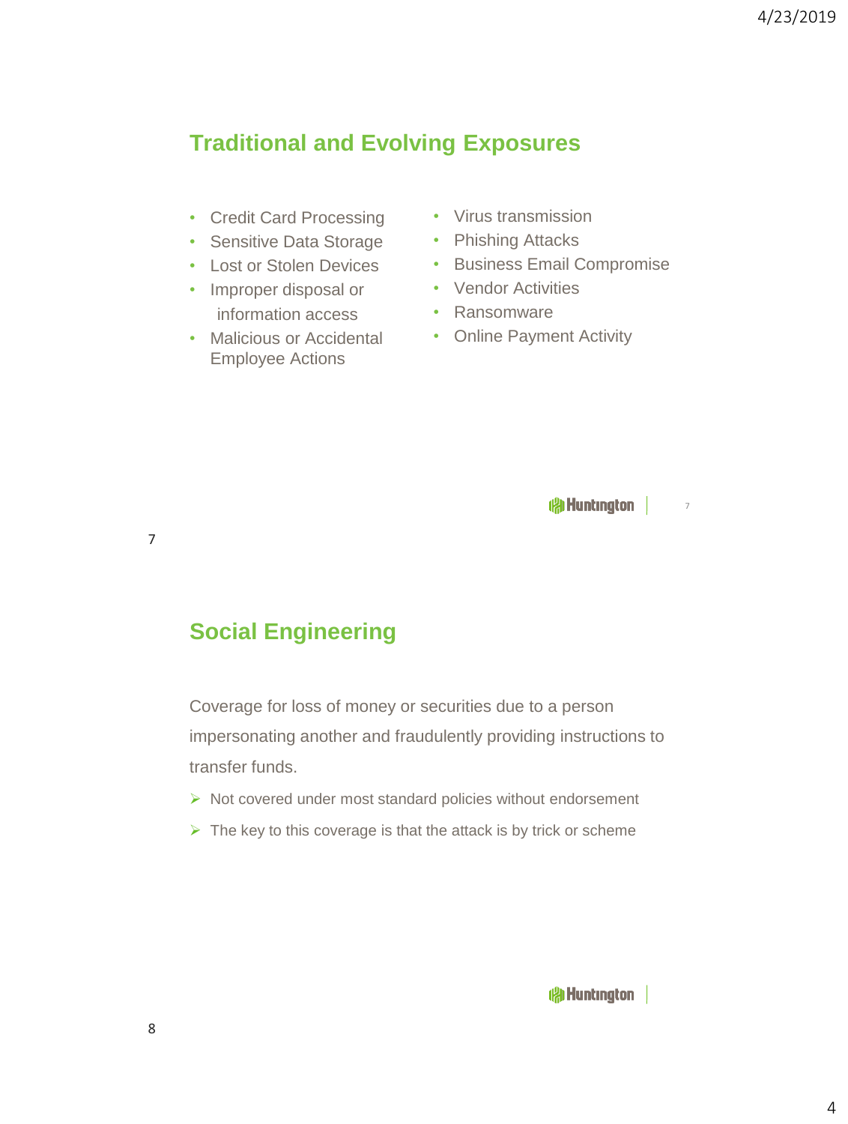### **Traditional and Evolving Exposures**

- Credit Card Processing
- Sensitive Data Storage
- Lost or Stolen Devices
- Improper disposal or information access
- Malicious or Accidental Employee Actions
- Virus transmission
- Phishing Attacks
- Business Email Compromise
- Vendor Activities
- Ransomware
- Online Payment Activity

**Allentington** 7

7

### **Social Engineering**

Coverage for loss of money or securities due to a person impersonating another and fraudulently providing instructions to transfer funds.

- ➢ Not covered under most standard policies without endorsement
- $\triangleright$  The key to this coverage is that the attack is by trick or scheme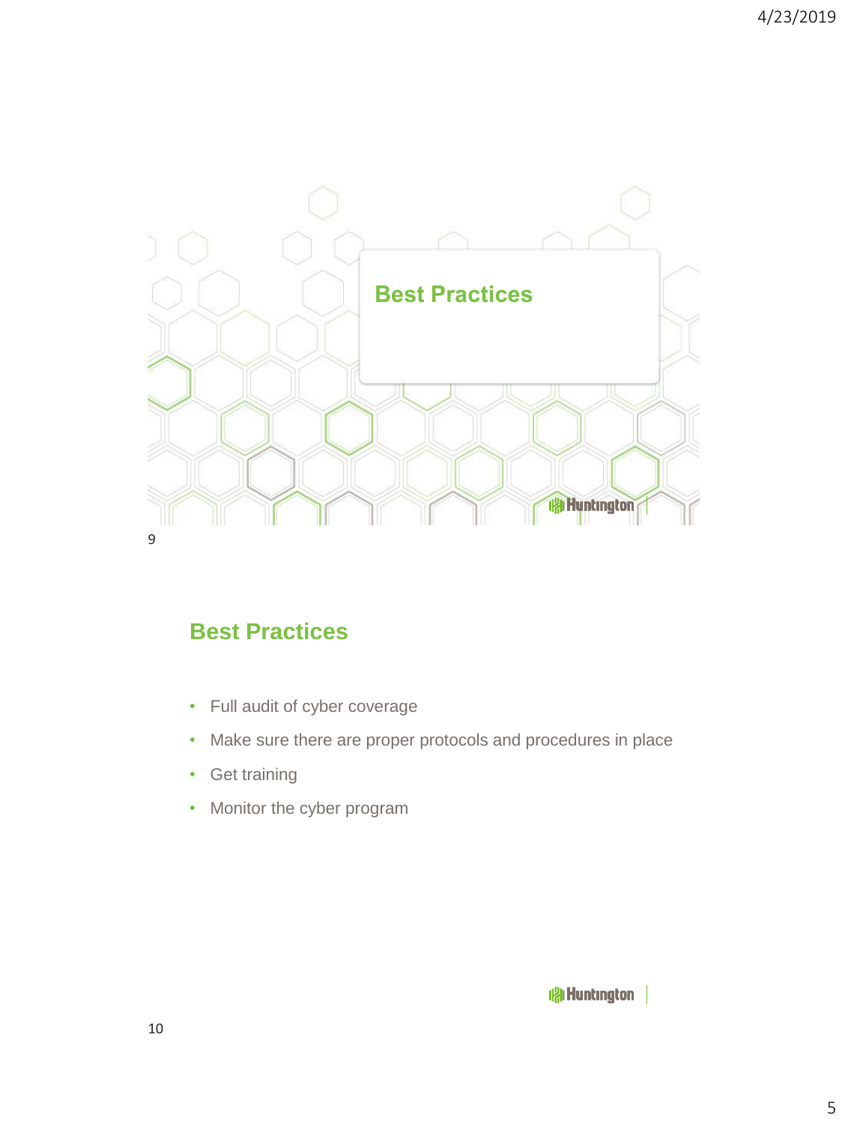

# **Best Practices**

- Full audit of cyber coverage
- Make sure there are proper protocols and procedures in place
- Get training
- Monitor the cyber program